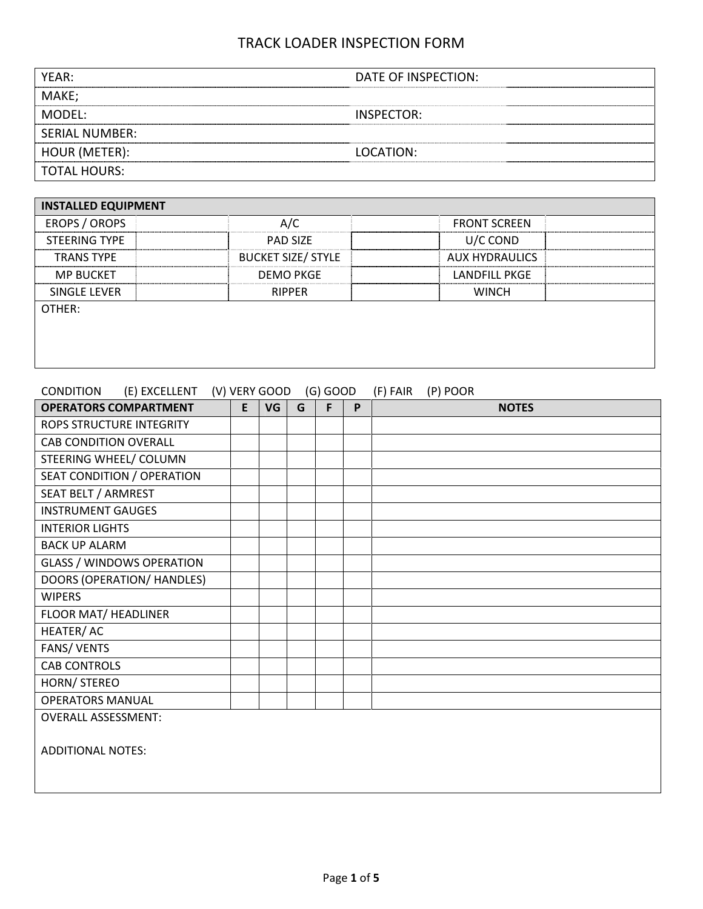| YEAR:                 | DATE OF INSPECTION: |
|-----------------------|---------------------|
| MAKE;                 |                     |
| MODFL:                | INSPECTOR:          |
| <b>SERIAL NUMBER:</b> |                     |
| HOUR (METER):         | LOCATION:           |
| <b>TOTAL HOURS:</b>   |                     |

| <b>INSTALLED EQUIPMENT</b> |                           |                     |  |
|----------------------------|---------------------------|---------------------|--|
| <b>EROPS / OROPS</b>       | A/C                       | <b>FRONT SCREEN</b> |  |
| <b>STEERING TYPE</b>       | <b>PAD SIZE</b>           | U/C COND            |  |
| <b>TRANS TYPE</b>          | <b>BUCKET SIZE/ STYLE</b> | AUX HYDRAULICS      |  |
| <b>MP BUCKET</b>           | <b>DEMO PKGE</b>          | LANDFILL PKGE       |  |
| SINGLE LEVER               | <b>RIPPER</b>             | <b>WINCH</b>        |  |
| OTHER:                     |                           |                     |  |
|                            |                           |                     |  |
|                            |                           |                     |  |
|                            |                           |                     |  |

#### CONDITION (E) EXCELLENT (V) VERY GOOD (G) GOOD (F) FAIR (P) POOR

| <b>OPERATORS COMPARTMENT</b>     | E | VG | G | F. | P | <b>NOTES</b> |
|----------------------------------|---|----|---|----|---|--------------|
| ROPS STRUCTURE INTEGRITY         |   |    |   |    |   |              |
| <b>CAB CONDITION OVERALL</b>     |   |    |   |    |   |              |
| STEERING WHEEL/ COLUMN           |   |    |   |    |   |              |
| SEAT CONDITION / OPERATION       |   |    |   |    |   |              |
| SEAT BELT / ARMREST              |   |    |   |    |   |              |
| <b>INSTRUMENT GAUGES</b>         |   |    |   |    |   |              |
| <b>INTERIOR LIGHTS</b>           |   |    |   |    |   |              |
| <b>BACK UP ALARM</b>             |   |    |   |    |   |              |
| <b>GLASS / WINDOWS OPERATION</b> |   |    |   |    |   |              |
| DOORS (OPERATION/ HANDLES)       |   |    |   |    |   |              |
| <b>WIPERS</b>                    |   |    |   |    |   |              |
| <b>FLOOR MAT/ HEADLINER</b>      |   |    |   |    |   |              |
| HEATER/AC                        |   |    |   |    |   |              |
| <b>FANS/ VENTS</b>               |   |    |   |    |   |              |
| <b>CAB CONTROLS</b>              |   |    |   |    |   |              |
| HORN/ STEREO                     |   |    |   |    |   |              |
| <b>OPERATORS MANUAL</b>          |   |    |   |    |   |              |
| <b>OVERALL ASSESSMENT:</b>       |   |    |   |    |   |              |
| <b>ADDITIONAL NOTES:</b>         |   |    |   |    |   |              |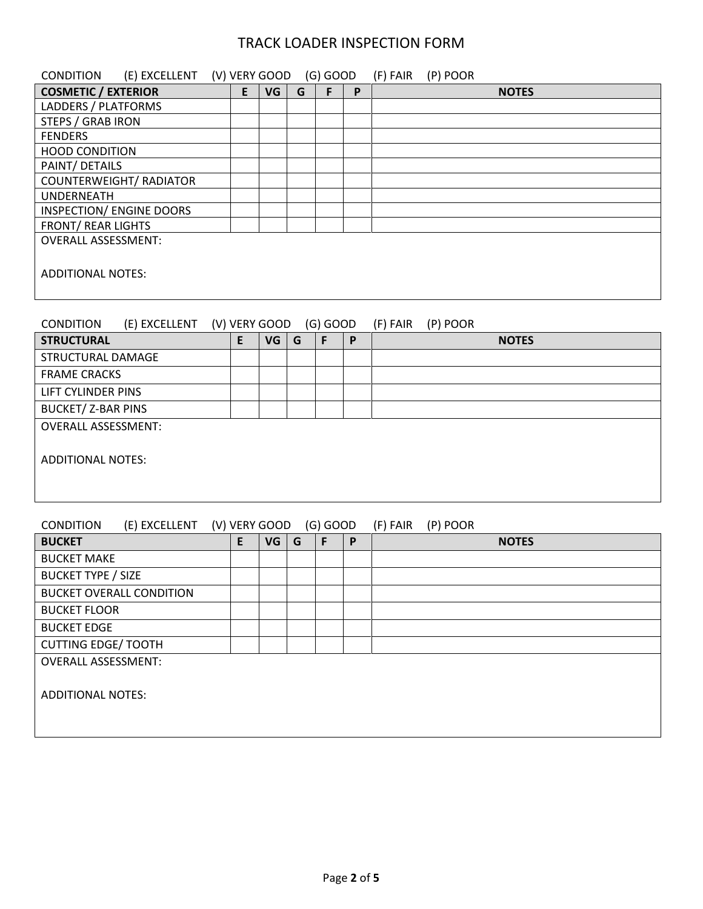| <b>COSMETIC / EXTERIOR</b><br>E<br>VG<br>F<br>G<br>P<br><b>NOTES</b><br>LADDERS / PLATFORMS<br><b>STEPS / GRAB IRON</b><br><b>FENDERS</b><br><b>HOOD CONDITION</b><br>PAINT/ DETAILS<br><b>COUNTERWEIGHT/ RADIATOR</b><br><b>UNDERNEATH</b><br><b>INSPECTION/ ENGINE DOORS</b><br><b>FRONT/ REAR LIGHTS</b><br><b>OVERALL ASSESSMENT:</b><br><b>ADDITIONAL NOTES:</b><br><b>CONDITION</b><br>(E) EXCELLENT<br>(V) VERY GOOD (G) GOOD<br>(F) FAIR<br>(P) POOR<br>E<br>$\mathsf F$<br><b>STRUCTURAL</b><br><b>VG</b><br>G<br>$\boldsymbol{\mathsf{P}}$<br><b>NOTES</b><br>STRUCTURAL DAMAGE<br><b>FRAME CRACKS</b><br><b>LIFT CYLINDER PINS</b><br><b>BUCKET/ Z-BAR PINS</b><br><b>OVERALL ASSESSMENT:</b><br><b>ADDITIONAL NOTES:</b><br><b>CONDITION</b><br>(V) VERY GOOD (G) GOOD<br>(F) FAIR<br>(E) EXCELLENT<br>(P) POOR<br>E<br>F<br>P<br><b>BUCKET</b><br><b>VG</b><br>G<br><b>NOTES</b><br><b>BUCKET MAKE</b><br><b>BUCKET TYPE / SIZE</b><br><b>BUCKET OVERALL CONDITION</b><br><b>BUCKET FLOOR</b><br><b>BUCKET EDGE</b> | <b>CONDITION</b><br>(E) EXCELLENT (V) VERY GOOD |  |  | $(G)$ GOOD | (F) FAIR | (P) POOR |  |
|----------------------------------------------------------------------------------------------------------------------------------------------------------------------------------------------------------------------------------------------------------------------------------------------------------------------------------------------------------------------------------------------------------------------------------------------------------------------------------------------------------------------------------------------------------------------------------------------------------------------------------------------------------------------------------------------------------------------------------------------------------------------------------------------------------------------------------------------------------------------------------------------------------------------------------------------------------------------------------------------------------------------------------|-------------------------------------------------|--|--|------------|----------|----------|--|
|                                                                                                                                                                                                                                                                                                                                                                                                                                                                                                                                                                                                                                                                                                                                                                                                                                                                                                                                                                                                                                  |                                                 |  |  |            |          |          |  |
|                                                                                                                                                                                                                                                                                                                                                                                                                                                                                                                                                                                                                                                                                                                                                                                                                                                                                                                                                                                                                                  |                                                 |  |  |            |          |          |  |
|                                                                                                                                                                                                                                                                                                                                                                                                                                                                                                                                                                                                                                                                                                                                                                                                                                                                                                                                                                                                                                  |                                                 |  |  |            |          |          |  |
|                                                                                                                                                                                                                                                                                                                                                                                                                                                                                                                                                                                                                                                                                                                                                                                                                                                                                                                                                                                                                                  |                                                 |  |  |            |          |          |  |
|                                                                                                                                                                                                                                                                                                                                                                                                                                                                                                                                                                                                                                                                                                                                                                                                                                                                                                                                                                                                                                  |                                                 |  |  |            |          |          |  |
|                                                                                                                                                                                                                                                                                                                                                                                                                                                                                                                                                                                                                                                                                                                                                                                                                                                                                                                                                                                                                                  |                                                 |  |  |            |          |          |  |
|                                                                                                                                                                                                                                                                                                                                                                                                                                                                                                                                                                                                                                                                                                                                                                                                                                                                                                                                                                                                                                  |                                                 |  |  |            |          |          |  |
|                                                                                                                                                                                                                                                                                                                                                                                                                                                                                                                                                                                                                                                                                                                                                                                                                                                                                                                                                                                                                                  |                                                 |  |  |            |          |          |  |
|                                                                                                                                                                                                                                                                                                                                                                                                                                                                                                                                                                                                                                                                                                                                                                                                                                                                                                                                                                                                                                  |                                                 |  |  |            |          |          |  |
|                                                                                                                                                                                                                                                                                                                                                                                                                                                                                                                                                                                                                                                                                                                                                                                                                                                                                                                                                                                                                                  |                                                 |  |  |            |          |          |  |
|                                                                                                                                                                                                                                                                                                                                                                                                                                                                                                                                                                                                                                                                                                                                                                                                                                                                                                                                                                                                                                  |                                                 |  |  |            |          |          |  |
|                                                                                                                                                                                                                                                                                                                                                                                                                                                                                                                                                                                                                                                                                                                                                                                                                                                                                                                                                                                                                                  |                                                 |  |  |            |          |          |  |
|                                                                                                                                                                                                                                                                                                                                                                                                                                                                                                                                                                                                                                                                                                                                                                                                                                                                                                                                                                                                                                  |                                                 |  |  |            |          |          |  |
|                                                                                                                                                                                                                                                                                                                                                                                                                                                                                                                                                                                                                                                                                                                                                                                                                                                                                                                                                                                                                                  |                                                 |  |  |            |          |          |  |
|                                                                                                                                                                                                                                                                                                                                                                                                                                                                                                                                                                                                                                                                                                                                                                                                                                                                                                                                                                                                                                  |                                                 |  |  |            |          |          |  |
|                                                                                                                                                                                                                                                                                                                                                                                                                                                                                                                                                                                                                                                                                                                                                                                                                                                                                                                                                                                                                                  |                                                 |  |  |            |          |          |  |
|                                                                                                                                                                                                                                                                                                                                                                                                                                                                                                                                                                                                                                                                                                                                                                                                                                                                                                                                                                                                                                  |                                                 |  |  |            |          |          |  |
|                                                                                                                                                                                                                                                                                                                                                                                                                                                                                                                                                                                                                                                                                                                                                                                                                                                                                                                                                                                                                                  |                                                 |  |  |            |          |          |  |
|                                                                                                                                                                                                                                                                                                                                                                                                                                                                                                                                                                                                                                                                                                                                                                                                                                                                                                                                                                                                                                  |                                                 |  |  |            |          |          |  |
|                                                                                                                                                                                                                                                                                                                                                                                                                                                                                                                                                                                                                                                                                                                                                                                                                                                                                                                                                                                                                                  |                                                 |  |  |            |          |          |  |
|                                                                                                                                                                                                                                                                                                                                                                                                                                                                                                                                                                                                                                                                                                                                                                                                                                                                                                                                                                                                                                  |                                                 |  |  |            |          |          |  |
|                                                                                                                                                                                                                                                                                                                                                                                                                                                                                                                                                                                                                                                                                                                                                                                                                                                                                                                                                                                                                                  |                                                 |  |  |            |          |          |  |
|                                                                                                                                                                                                                                                                                                                                                                                                                                                                                                                                                                                                                                                                                                                                                                                                                                                                                                                                                                                                                                  |                                                 |  |  |            |          |          |  |
|                                                                                                                                                                                                                                                                                                                                                                                                                                                                                                                                                                                                                                                                                                                                                                                                                                                                                                                                                                                                                                  |                                                 |  |  |            |          |          |  |
|                                                                                                                                                                                                                                                                                                                                                                                                                                                                                                                                                                                                                                                                                                                                                                                                                                                                                                                                                                                                                                  |                                                 |  |  |            |          |          |  |
|                                                                                                                                                                                                                                                                                                                                                                                                                                                                                                                                                                                                                                                                                                                                                                                                                                                                                                                                                                                                                                  |                                                 |  |  |            |          |          |  |
|                                                                                                                                                                                                                                                                                                                                                                                                                                                                                                                                                                                                                                                                                                                                                                                                                                                                                                                                                                                                                                  |                                                 |  |  |            |          |          |  |
|                                                                                                                                                                                                                                                                                                                                                                                                                                                                                                                                                                                                                                                                                                                                                                                                                                                                                                                                                                                                                                  |                                                 |  |  |            |          |          |  |
|                                                                                                                                                                                                                                                                                                                                                                                                                                                                                                                                                                                                                                                                                                                                                                                                                                                                                                                                                                                                                                  |                                                 |  |  |            |          |          |  |
| <b>CUTTING EDGE/ TOOTH</b>                                                                                                                                                                                                                                                                                                                                                                                                                                                                                                                                                                                                                                                                                                                                                                                                                                                                                                                                                                                                       |                                                 |  |  |            |          |          |  |

ADDITIONAL NOTES:

OVERALL ASSESSMENT: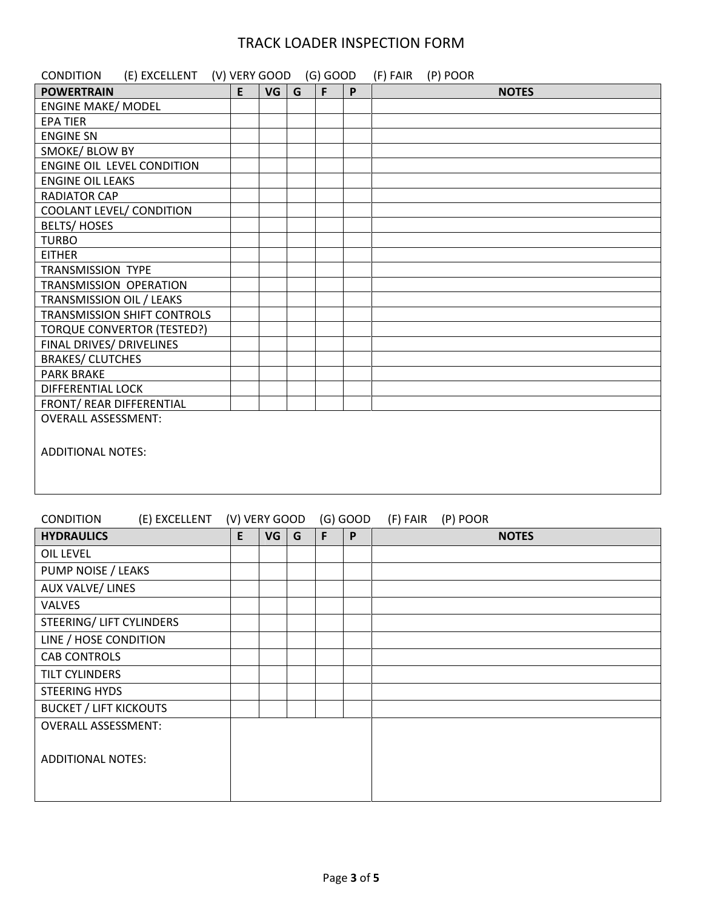| (E) EXCELLENT (V) VERY GOOD (G) GOOD<br><b>CONDITION</b> |   |                 |   |   |   | (F) FAIR (P) POOR |
|----------------------------------------------------------|---|-----------------|---|---|---|-------------------|
| <b>POWERTRAIN</b>                                        | E | VG <sub>1</sub> | G | F | P | <b>NOTES</b>      |
| <b>ENGINE MAKE/ MODEL</b>                                |   |                 |   |   |   |                   |
| <b>EPA TIER</b>                                          |   |                 |   |   |   |                   |
| <b>ENGINE SN</b>                                         |   |                 |   |   |   |                   |
| SMOKE/ BLOW BY                                           |   |                 |   |   |   |                   |
| <b>ENGINE OIL LEVEL CONDITION</b>                        |   |                 |   |   |   |                   |
| <b>ENGINE OIL LEAKS</b>                                  |   |                 |   |   |   |                   |
| <b>RADIATOR CAP</b>                                      |   |                 |   |   |   |                   |
| <b>COOLANT LEVEL/ CONDITION</b>                          |   |                 |   |   |   |                   |
| <b>BELTS/HOSES</b>                                       |   |                 |   |   |   |                   |
| <b>TURBO</b>                                             |   |                 |   |   |   |                   |
| <b>EITHER</b>                                            |   |                 |   |   |   |                   |
| <b>TRANSMISSION TYPE</b>                                 |   |                 |   |   |   |                   |
| TRANSMISSION OPERATION                                   |   |                 |   |   |   |                   |
| TRANSMISSION OIL / LEAKS                                 |   |                 |   |   |   |                   |
| TRANSMISSION SHIFT CONTROLS                              |   |                 |   |   |   |                   |
| <b>TORQUE CONVERTOR (TESTED?)</b>                        |   |                 |   |   |   |                   |
| <b>FINAL DRIVES/ DRIVELINES</b>                          |   |                 |   |   |   |                   |
| <b>BRAKES/ CLUTCHES</b>                                  |   |                 |   |   |   |                   |
| <b>PARK BRAKE</b>                                        |   |                 |   |   |   |                   |
| <b>DIFFERENTIAL LOCK</b>                                 |   |                 |   |   |   |                   |
| FRONT/ REAR DIFFERENTIAL                                 |   |                 |   |   |   |                   |
| <b>OVERALL ASSESSMENT:</b>                               |   |                 |   |   |   |                   |
| <b>ADDITIONAL NOTES:</b>                                 |   |                 |   |   |   |                   |

#### CONDITION (E) EXCELLENT (V) VERY GOOD (G) GOOD (F) FAIR (P) POOR

| <b>HYDRAULICS</b>             | E | VG | G | F | P | <b>NOTES</b> |
|-------------------------------|---|----|---|---|---|--------------|
| OIL LEVEL                     |   |    |   |   |   |              |
| PUMP NOISE / LEAKS            |   |    |   |   |   |              |
| <b>AUX VALVE/ LINES</b>       |   |    |   |   |   |              |
| <b>VALVES</b>                 |   |    |   |   |   |              |
| STEERING/ LIFT CYLINDERS      |   |    |   |   |   |              |
| LINE / HOSE CONDITION         |   |    |   |   |   |              |
| <b>CAB CONTROLS</b>           |   |    |   |   |   |              |
| TILT CYLINDERS                |   |    |   |   |   |              |
| STEERING HYDS                 |   |    |   |   |   |              |
| <b>BUCKET / LIFT KICKOUTS</b> |   |    |   |   |   |              |
| <b>OVERALL ASSESSMENT:</b>    |   |    |   |   |   |              |
| <b>ADDITIONAL NOTES:</b>      |   |    |   |   |   |              |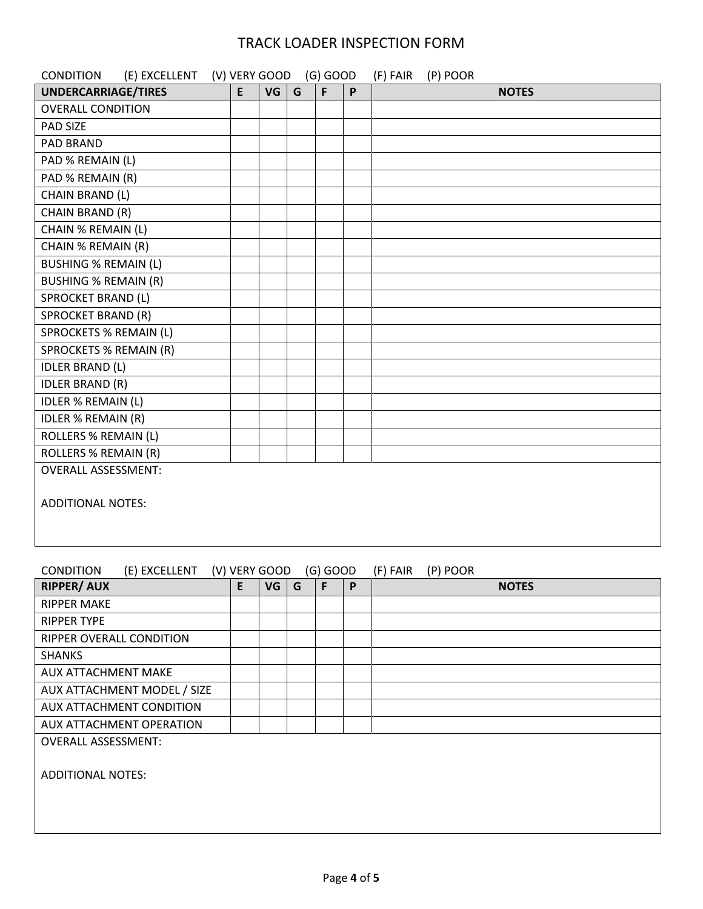| <b>CONDITION</b><br>(E) EXCELLENT (V) VERY GOOD |   |           |   | $(G)$ GOOD |   | (F) FAIR | (P) POOR |              |  |
|-------------------------------------------------|---|-----------|---|------------|---|----------|----------|--------------|--|
| <b>UNDERCARRIAGE/TIRES</b>                      | E | <b>VG</b> | G | F          | P |          |          | <b>NOTES</b> |  |
| <b>OVERALL CONDITION</b>                        |   |           |   |            |   |          |          |              |  |
| <b>PAD SIZE</b>                                 |   |           |   |            |   |          |          |              |  |
| PAD BRAND                                       |   |           |   |            |   |          |          |              |  |
| PAD % REMAIN (L)                                |   |           |   |            |   |          |          |              |  |
| PAD % REMAIN (R)                                |   |           |   |            |   |          |          |              |  |
| CHAIN BRAND (L)                                 |   |           |   |            |   |          |          |              |  |
| CHAIN BRAND (R)                                 |   |           |   |            |   |          |          |              |  |
| CHAIN % REMAIN (L)                              |   |           |   |            |   |          |          |              |  |
| CHAIN % REMAIN (R)                              |   |           |   |            |   |          |          |              |  |
| <b>BUSHING % REMAIN (L)</b>                     |   |           |   |            |   |          |          |              |  |
| <b>BUSHING % REMAIN (R)</b>                     |   |           |   |            |   |          |          |              |  |
| SPROCKET BRAND (L)                              |   |           |   |            |   |          |          |              |  |
| <b>SPROCKET BRAND (R)</b>                       |   |           |   |            |   |          |          |              |  |
| <b>SPROCKETS % REMAIN (L)</b>                   |   |           |   |            |   |          |          |              |  |
| <b>SPROCKETS % REMAIN (R)</b>                   |   |           |   |            |   |          |          |              |  |
| <b>IDLER BRAND (L)</b>                          |   |           |   |            |   |          |          |              |  |
| <b>IDLER BRAND (R)</b>                          |   |           |   |            |   |          |          |              |  |
| <b>IDLER % REMAIN (L)</b>                       |   |           |   |            |   |          |          |              |  |
| <b>IDLER % REMAIN (R)</b>                       |   |           |   |            |   |          |          |              |  |
| <b>ROLLERS % REMAIN (L)</b>                     |   |           |   |            |   |          |          |              |  |
| <b>ROLLERS % REMAIN (R)</b>                     |   |           |   |            |   |          |          |              |  |
| <b>OVERALL ASSESSMENT:</b>                      |   |           |   |            |   |          |          |              |  |
| <b>ADDITIONAL NOTES:</b>                        |   |           |   |            |   |          |          |              |  |

| (E) EXCELLENT<br><b>CONDITION</b> | (V) VERY GOOD |    |   | $(G)$ GOOD |   | (P) POOR<br>(F) FAIR |
|-----------------------------------|---------------|----|---|------------|---|----------------------|
| <b>RIPPER/ AUX</b>                | E.            | VG | G | F          | P | <b>NOTES</b>         |
| <b>RIPPER MAKE</b>                |               |    |   |            |   |                      |
| <b>RIPPER TYPE</b>                |               |    |   |            |   |                      |
| RIPPER OVERALL CONDITION          |               |    |   |            |   |                      |
| <b>SHANKS</b>                     |               |    |   |            |   |                      |
| <b>AUX ATTACHMENT MAKE</b>        |               |    |   |            |   |                      |
| AUX ATTACHMENT MODEL / SIZE       |               |    |   |            |   |                      |
| AUX ATTACHMENT CONDITION          |               |    |   |            |   |                      |
| AUX ATTACHMENT OPERATION          |               |    |   |            |   |                      |
| <b>OVERALL ASSESSMENT:</b>        |               |    |   |            |   |                      |
|                                   |               |    |   |            |   |                      |
| <b>ADDITIONAL NOTES:</b>          |               |    |   |            |   |                      |
|                                   |               |    |   |            |   |                      |
|                                   |               |    |   |            |   |                      |
|                                   |               |    |   |            |   |                      |